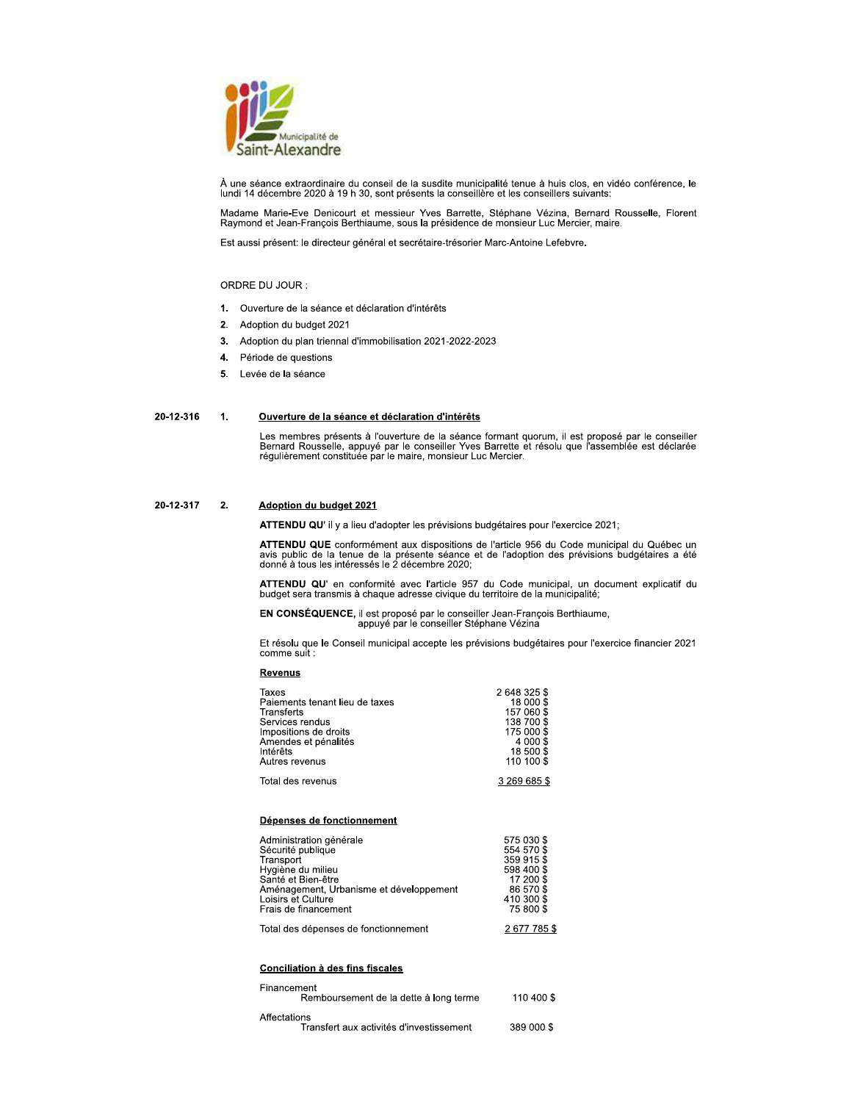

À une séance extraordinaire du conseil de la susdite municipalité tenue à huis clos, en vidéo conférence, le lundi 14 décembre 2020 à 19 h 30, sont présents la conseillère et les conseillers suivants:

Madame Marie-Eve Denicourt et messieur Yves Barrette, Stéphane Vézina, Bernard Rousselle, Florent<br>Raymond et Jean-François Berthiaume, sous la présidence de monsieur Luc Mercier, maire.

Est aussi présent: le directeur général et secrétaire-trésorier Marc-Antoine Lefebvre.

# ORDRE DU JOUR :

- 1. Ouverture de la séance et déclaration d'intérêts
- 2. Adoption du budget 2021
- 3. Adoption du plan triennal d'immobilisation 2021-2022-2023
- 4. Période de questions
- 5. Levée de la séance

#### 20-12-316  $\mathbf{1}$ . Ouverture de la séance et déclaration d'intérêts

Les membres présents à l'ouverture de la séance formant quorum, il est proposé par le conseiller<br>Bernard Rousselle, appuyé par le conseiller Yves Barrette et résolu que l'assemblée est déclarée<br>régulièrement constituée par

#### 20-12-317  $2.$ Adoption du budget 2021

ATTENDU QU' il y a lieu d'adopter les prévisions budgétaires pour l'exercice 2021;

ATTENDU QUE conformément aux dispositions de l'article 956 du Code municipal du Québec un Aristotelle la tenue de la présente séance et de l'adoption des prévisions budgétaires a été<br>donné à tous les intéressés le 2 décembre 2020;

ATTENDU QU' en conformité avec l'article 957 du Code municipal, un document explicatif du budget sera transmis à chaque adresse civique du territoire de la municipalité;

EN CONSÉQUENCE, il est proposé par le conseiller Jean-François Berthiaume, appuyé par le conseiller Stéphane Vézina

Et résolu que le Conseil municipal accepte les prévisions budgétaires pour l'exercice financier 2021 comme suit :

# Revenus

| Taxes                          | 2648325\$    |
|--------------------------------|--------------|
| Paiements tenant lieu de taxes | 18 000 \$    |
| Transferts                     | 157 060 \$   |
| Services rendus                | 138 700 \$   |
| Impositions de droits          | 175 000 \$   |
| Amendes et pénalités           | 4 000 \$     |
| Intérêts                       | 18 500 \$    |
| Autres revenus                 | 110 100 \$   |
| Total des revenus              | 3 269 685 \$ |

# Dépenses de fonctionnement

| Administration générale                 | 575 030 \$ |
|-----------------------------------------|------------|
| Sécurité publique                       | 554 570 \$ |
| Transport                               | 359 915 \$ |
| Hygiène du milieu                       | 598 400 \$ |
| Santé et Bien-être                      | 17 200 \$  |
| Aménagement, Urbanisme et développement | 86 570 \$  |
| Loisirs et Culture                      | 410 300 \$ |
| Frais de financement                    | 75 800 \$  |
| Total des dépenses de fonctionnement    | 2677785\$  |

#### **Conciliation à des fins fiscales**

| Financement<br>Remboursement de la dette à long terme    | 110 400 \$ |
|----------------------------------------------------------|------------|
| Affectations<br>Transfert aux activités d'investissement | 389 000 \$ |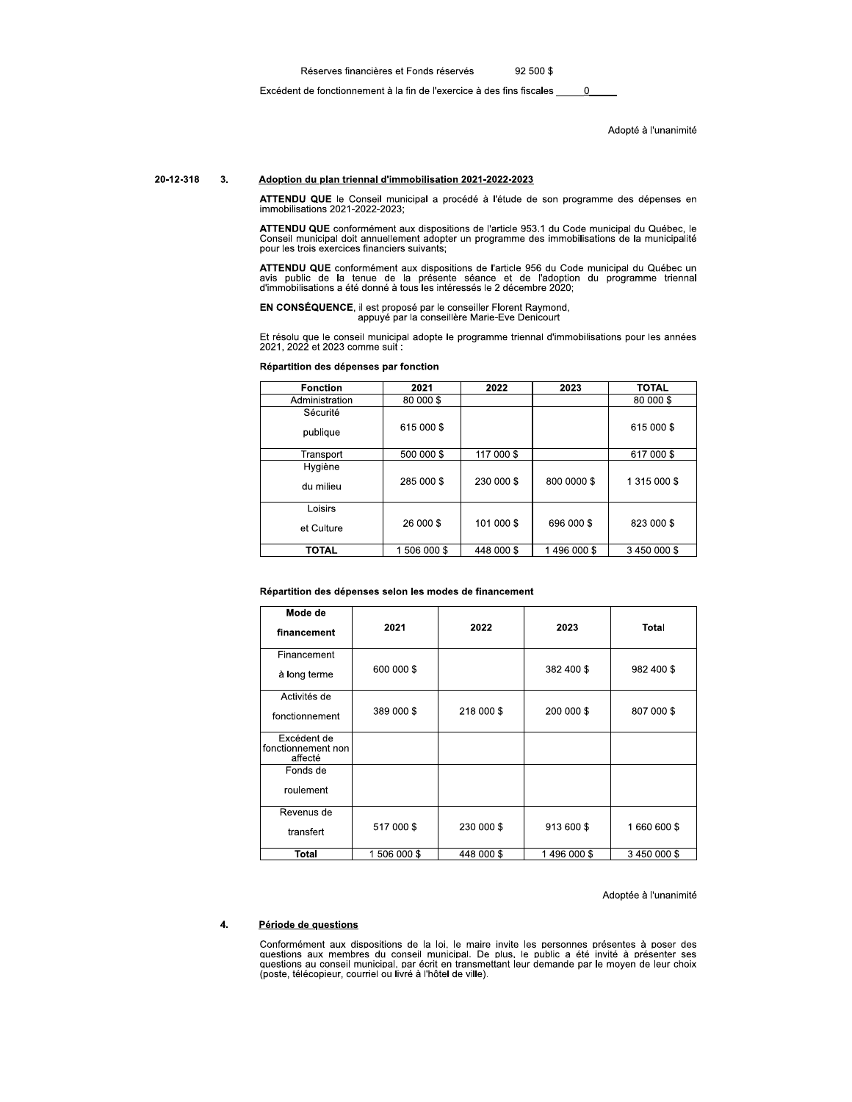Réserves financières et Fonds réservés 92 500 \$

Excédent de fonctionnement à la fin de l'exercice à des fins fiscales  $\qquad 0$ 

Adopté à l'unanimité

### 20-12-318 3. Adoption du plan triennal d'immobilisation 2021-2022-2023

La procédé à l'étude de son programme des dépenses en immobilisations 2021-2022-2023;

3. **Adoption du plan triennal d'immobili**<br> **ATTENDU QUE** le Conseil municipal<br>
immobilisations 2021-2022-2023;<br> **ATTENDU QUE** conformément aux dis<br>
Conseil municipal doit annuellement a<br>
pour les trois exercices financiers 3. **Adoption du plan triennal d'immo<br>
ATTENDU QUE le Conseil munici<br>
immobilisations 2021-2022-2023;<br>
ATTENDU QUE conformément aux<br>
Conseil municipal doit annuellemer<br>
pour les trois exercices financiers st<br>
ATTENDU QUE co ATTENDU QUE** conformément aux dispositions de l'article 953.1 du Code municipal du Québec, le<br>Conseil municipal doit annuellement adopter un programme des immobilisations de la municipalité l doit annuellement adopter un programme des immobilisations de la municipalité pour les trois exercices financiers suivants: ATTENDU QUE conformément aux dispositions de l'article 953.1 du Cod<br>Conseil municipal doit annuellement adopter un programme des immobi<br>pour les trois exercices financiers suivants;<br>ATTENDU QUE conformément aux disposition

**ATTENDU QUE** conformément aux dispositions de l'article 956 du Code municipal du Québec un<br>avis public de la tenue de la présente séance et de l'adoption du programme triennal<br>d'immobilisations a été donné à tous les inté

# EN CONSÉQUENCE, il est proposé par le conseiller Florent Raymond,<br>appuvé par la conseillère Marie-Eve Denicourt

Et résolu que le conseil municipal adopte le programme triennal d'immobilisations pour les années<br>2021. 2022 et 2023 comme suit :

| <b>Fonction</b> | 2021       | 2022       | 2023        | <b>TOTAL</b> |
|-----------------|------------|------------|-------------|--------------|
| Administration  | 80 000 \$  |            |             | 80 000 \$    |
| Sécurité        |            |            |             |              |
| publique        | 615 000 \$ |            |             | 615 000 \$   |
| Transport       | 500 000 \$ | 117 000 \$ |             | 617 000 \$   |
| Hygiène         |            |            |             |              |
| du milieu       | 285 000 \$ | 230 000 \$ | 800 0000 \$ | 1 315 000 \$ |
| Loisirs         |            |            |             |              |
| et Culture      | 26 000 \$  | 101 000 \$ | 696 000 \$  | 823 000 \$   |
| <b>TOTAL</b>    | 1506000\$  | 448 000 \$ | 1496 000 \$ | 3 450 000 \$ |

### Répartition des dépenses par fonction

Répartition des dépenses selon les modes de financement

| Mode de                                      |              |            |            |              |
|----------------------------------------------|--------------|------------|------------|--------------|
| financement                                  | 2021         | 2022       | 2023       | Total        |
| Financement                                  |              |            |            |              |
| à long terme                                 | 600 000 \$   |            | 382 400 \$ | 982 400 \$   |
| Activités de                                 |              |            |            |              |
| fonctionnement                               | 389 000 \$   | 218 000 \$ | 200 000 \$ | 807 000 \$   |
| Excédent de<br>fonctionnement non<br>affecté |              |            |            |              |
| Fonds de                                     |              |            |            |              |
| roulement                                    |              |            |            |              |
| Revenus de                                   |              |            |            |              |
| transfert                                    | 517 000 \$   | 230 000 \$ | 913 600 \$ | 1660600\$    |
| <b>Total</b>                                 | 1 506 000 \$ | 448 000 \$ | 1496 000\$ | 3 450 000 \$ |

Adoptée à l'unanimité

#### $4.$ Période de questions

Conformément aux dispositions de la loi, le maire invite les personnes prés Conformément aux dispositions de la loi, le maire invite les personnes présentes à poser des<br>questions aux membres du conseil municipal. De plus, le public a été invité à présenter ses<br>questions au conseil municipal, par é